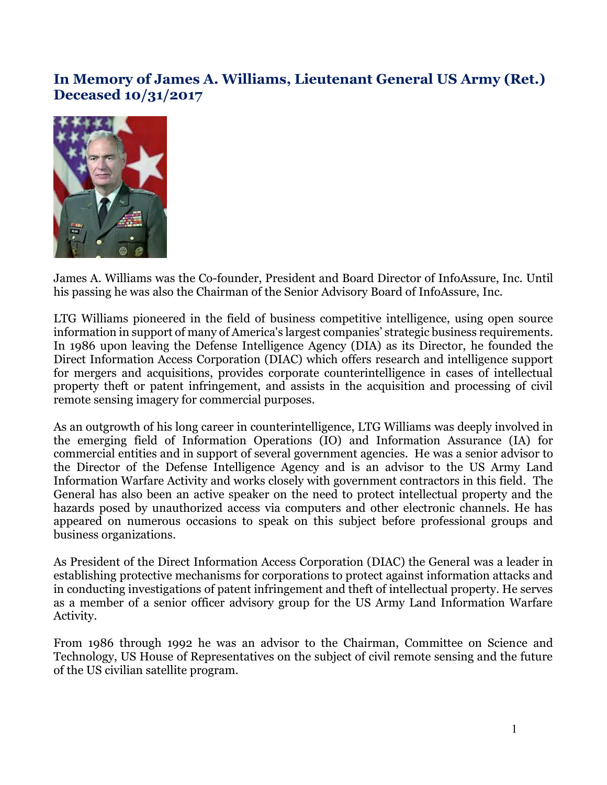## **In Memory of James A. Williams, Lieutenant General US Army (Ret.) Deceased 10/31/2017**



James A. Williams was the Co-founder, President and Board Director of InfoAssure, Inc. Until his passing he was also the Chairman of the Senior Advisory Board of InfoAssure, Inc.

LTG Williams pioneered in the field of business competitive intelligence, using open source information in support of many of America's largest companies' strategic business requirements. In 1986 upon leaving the Defense Intelligence Agency (DIA) as its Director, he founded the Direct Information Access Corporation (DIAC) which offers research and intelligence support for mergers and acquisitions, provides corporate counterintelligence in cases of intellectual property theft or patent infringement, and assists in the acquisition and processing of civil remote sensing imagery for commercial purposes.

As an outgrowth of his long career in counterintelligence, LTG Williams was deeply involved in the emerging field of Information Operations (IO) and Information Assurance (IA) for commercial entities and in support of several government agencies. He was a senior advisor to the Director of the Defense Intelligence Agency and is an advisor to the US Army Land Information Warfare Activity and works closely with government contractors in this field. The General has also been an active speaker on the need to protect intellectual property and the hazards posed by unauthorized access via computers and other electronic channels. He has appeared on numerous occasions to speak on this subject before professional groups and business organizations.

As President of the Direct Information Access Corporation (DIAC) the General was a leader in establishing protective mechanisms for corporations to protect against information attacks and in conducting investigations of patent infringement and theft of intellectual property. He serves as a member of a senior officer advisory group for the US Army Land Information Warfare Activity.

From 1986 through 1992 he was an advisor to the Chairman, Committee on Science and Technology, US House of Representatives on the subject of civil remote sensing and the future of the US civilian satellite program.